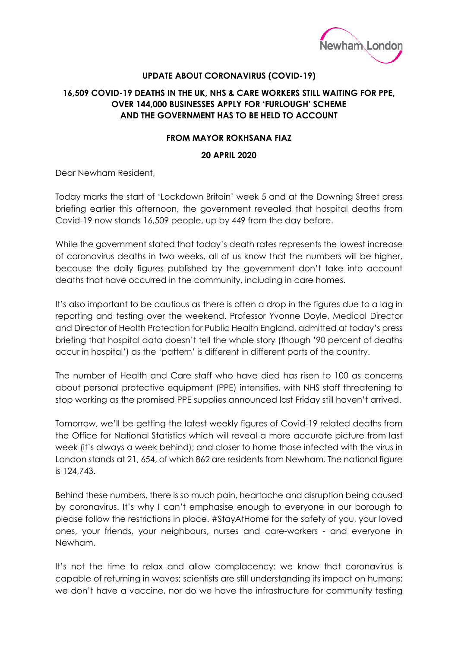

## **UPDATE ABOUT CORONAVIRUS (COVID-19)**

## **16,509 COVID-19 DEATHS IN THE UK, NHS & CARE WORKERS STILL WAITING FOR PPE, OVER 144,000 BUSINESSES APPLY FOR 'FURLOUGH' SCHEME AND THE GOVERNMENT HAS TO BE HELD TO ACCOUNT**

## **FROM MAYOR ROKHSANA FIAZ**

## **20 APRIL 2020**

Dear Newham Resident,

Today marks the start of 'Lockdown Britain' week 5 and at the Downing Street press briefing earlier this afternoon, the government revealed that hospital deaths from Covid-19 now stands 16,509 people, up by 449 from the day before.

While the government stated that today's death rates represents the lowest increase of coronavirus deaths in two weeks, all of us know that the numbers will be higher, because the daily figures published by the government don't take into account deaths that have occurred in the community, including in care homes.

It's also important to be cautious as there is often a drop in the figures due to a lag in reporting and testing over the weekend. Professor Yvonne Doyle, Medical Director and Director of Health Protection for Public Health England, admitted at today's press briefing that hospital data doesn't tell the whole story (though '90 percent of deaths occur in hospital') as the 'pattern' is different in different parts of the country.

The number of Health and Care staff who have died has risen to 100 as concerns about personal protective equipment (PPE) intensifies, with NHS staff threatening to stop working as the promised PPE supplies announced last Friday still haven't arrived.

Tomorrow, we'll be getting the latest weekly figures of Covid-19 related deaths from the Office for National Statistics which will reveal a more accurate picture from last week (it's always a week behind); and closer to home those infected with the virus in London stands at 21, 654, of which 862 are residents from Newham. The national figure is 124,743.

Behind these numbers, there is so much pain, heartache and disruption being caused by coronavirus. It's why I can't emphasise enough to everyone in our borough to please follow the restrictions in place. #StayAtHome for the safety of you, your loved ones, your friends, your neighbours, nurses and care-workers - and everyone in Newham.

It's not the time to relax and allow complacency: we know that coronavirus is capable of returning in waves; scientists are still understanding its impact on humans; we don't have a vaccine, nor do we have the infrastructure for community testing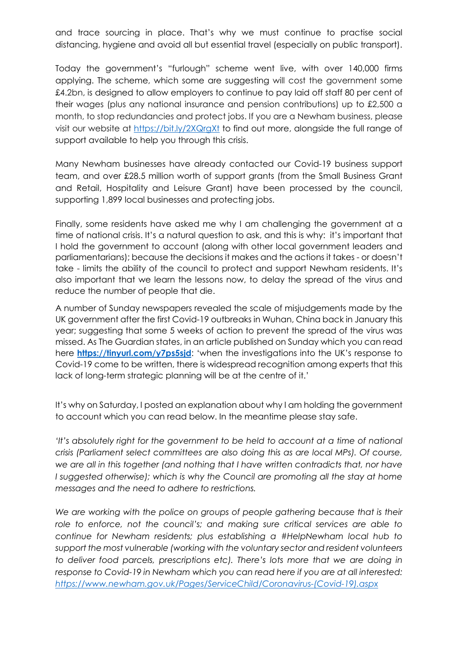and trace sourcing in place. That's why we must continue to practise social distancing, hygiene and avoid all but essential travel (especially on public transport).

Today the government's "furlough" scheme went live, with over 140,000 firms applying. The scheme, which some are suggesting will cost the government some £4.2bn, is designed to allow employers to continue to pay laid off staff 80 per cent of their wages (plus any national insurance and pension contributions) up to £2,500 a month, to stop redundancies and protect jobs. If you are a Newham business, please visit our website at<https://bit.ly/2XQrgXt> to find out more, alongside the full range of support available to help you through this crisis.

Many Newham businesses have already contacted our Covid-19 business support team, and over £28.5 million worth of support grants (from the Small Business Grant and Retail, Hospitality and Leisure Grant) have been processed by the council, supporting 1,899 local businesses and protecting jobs.

Finally, some residents have asked me why I am challenging the government at a time of national crisis. It's a natural question to ask, and this is why: it's important that I hold the government to account (along with other local government leaders and parliamentarians); because the decisions it makes and the actions it takes - or doesn't take - limits the ability of the council to protect and support Newham residents. It's also important that we learn the lessons now, to delay the spread of the virus and reduce the number of people that die.

A number of Sunday newspapers revealed the scale of misjudgements made by the UK government after the first Covid-19 outbreaks in Wuhan, China back in January this year; suggesting that some 5 weeks of action to prevent the spread of the virus was missed. As The Guardian states, in an article published on Sunday which you can read here **<https://tinyurl.com/y7ps5sjd>**: 'when the investigations into the UK's response to Covid-19 come to be written, there is widespread recognition among experts that this lack of long-term strategic planning will be at the centre of it.'

It's why on Saturday, I posted an explanation about why I am holding the government to account which you can read below. In the meantime please stay safe.

*'It's absolutely right for the government to be held to account at a time of national crisis (Parliament select committees are also doing this as are local MPs). Of course, we are all in this together (and nothing that I have written contradicts that, nor have*  I suggested otherwise); which is why the Council are promoting all the stay at home *messages and the need to adhere to restrictions.* 

We are working with the police on groups of people gathering because that is their role to enforce, not the council's; and making sure critical services are able to *continue for Newham residents; plus establishing a #HelpNewham local hub to support the most vulnerable (working with the voluntary sector and resident volunteers to deliver food parcels, prescriptions etc). There's lots more that we are doing in response to Covid-19 in Newham which you can read here if you are at all interested: [https://www.newham.gov.uk/Pages/ServiceChild/Coronavirus-\(Covid-19\).aspx](https://www.newham.gov.uk/Pages/ServiceChild/Coronavirus-(Covid-19).aspx)*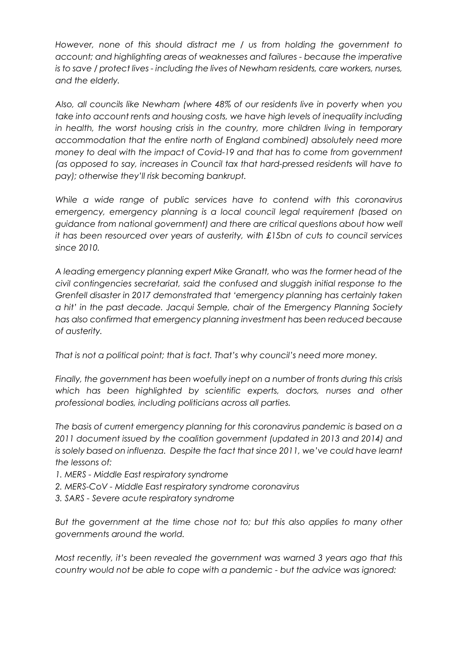*However, none of this should distract me / us from holding the government to account; and highlighting areas of weaknesses and failures - because the imperative is to save / protect lives - including the lives of Newham residents, care workers, nurses, and the elderly.* 

*Also, all councils like Newham (where 48% of our residents live in poverty when you take into account rents and housing costs, we have high levels of inequality including*  in health, the worst housing crisis in the country, more children living in temporary *accommodation that the entire north of England combined) absolutely need more money to deal with the impact of Covid-19 and that has to come from government (as opposed to say, increases in Council tax that hard-pressed residents will have to pay); otherwise they'll risk becoming bankrupt.* 

*While a wide range of public services have to contend with this coronavirus emergency, emergency planning is a local council legal requirement (based on guidance from national government) and there are critical questions about how well it has been resourced over years of austerity, with £15bn of cuts to council services since 2010.* 

*A leading emergency planning expert Mike Granatt, who was the former head of the civil contingencies secretariat, said the confused and sluggish initial response to the Grenfell disaster in 2017 demonstrated that 'emergency planning has certainly taken a hit' in the past decade. Jacqui Semple, chair of the Emergency Planning Society has also confirmed that emergency planning investment has been reduced because of austerity.* 

*That is not a political point; that is fact. That's why council's need more money.* 

*Finally, the government has been woefully inept on a number of fronts during this crisis*  which has been highlighted by scientific experts, doctors, nurses and other *professional bodies, including politicians across all parties.* 

*The basis of current emergency planning for this coronavirus pandemic is based on a 2011 document issued by the coalition government (updated in 2013 and 2014) and is solely based on influenza. Despite the fact that since 2011, we've could have learnt the lessons of:* 

- *1. MERS - Middle East respiratory syndrome*
- *2. MERS-CoV - Middle East respiratory syndrome coronavirus*
- *3. SARS - Severe acute respiratory syndrome*

*But the government at the time chose not to; but this also applies to many other governments around the world.* 

*Most recently, it's been revealed the government was warned 3 years ago that this country would not be able to cope with a pandemic - but the advice was ignored:*